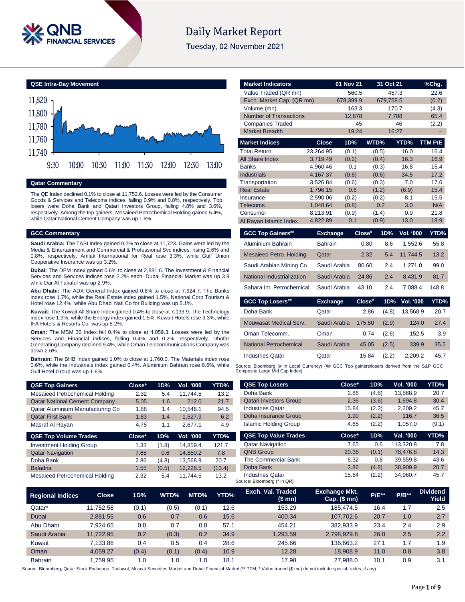

# **Daily Market Report**

Tuesday, 02 November 2021



# **Qatar Commentary**

The QE Index declined 0.1% to close at 11,752.6. Losses were led by the Consumer Goods & Services and Telecoms indices, falling 0.9% and 0.8%, respectively. Top losers were Doha Bank and Qatari Investors Group, falling 4.8% and 3.6%, respectively. Among the top gainers, Mesaieed Petrochemical Holding gained 5.4%, while Qatar National Cement Company was up 1.6%.

#### **GCC Commentary**

**Saudi Arabia:** The TASI Index gained 0.2% to close at 11,723. Gains were led by the Media & Entertainment and Commercial & Professional Svc indices, rising 2.6% and 0.8%, respectively. Amlak International for Real rose 3.3%, while Gulf Union Cooperative Insurance was up 3.2%.

**Dubai:** The DFM Index gained 0.6% to close at 2,881.6. The Investment & Financial Services and Services indices rose 2.2% each. Dubai Financial Market was up 3.9 while Dar Al Takaful was up 2.9%.

**Abu Dhabi:** The ADX General Index gained 0.8% to close at 7,924.7. The Banks index rose 1.7%, while the Real Estate index gained 1.5%. National Corp Tourism & Hotel rose 12.4%, while Abu Dhabi Natl Co for Building was up 5.1%.

**Kuwait:** The Kuwait All Share Index gained 0.4% to close at 7,133.9. The Technology index rose 1.9%, while the Energy index gained 1.5%. Kuwait Hotels rose 9.3%, while IFA Hotels & Resorts Co. was up 8.2%.

**Oman:** The MSM 30 Index fell 0.4% to close at 4,059.3. Losses were led by the Services and Financial indices, falling 0.4% and 0.2%, respectively. Dhofar Generating Company declined 9.4%, while Oman Telecommunications Company was down 2.6%.

**Bahrain:** The BHB Index gained 1.0% to close at 1,760.0. The Materials index rose 0.6%, while the Industrials index gained 0.4%. Aluminium Bahrain rose 8.6%, while Gulf Hotel Group was up 1.6%.

| <b>QSE Top Gainers</b>               | Close* | 1D%   | Vol. '000 | YTD%  |
|--------------------------------------|--------|-------|-----------|-------|
| Mesaieed Petrochemical Holding       | 2.32   | 5.4   | 11.744.5  | 13.2  |
| <b>Qatar National Cement Company</b> | 5.05   | 1.6   | 212.0     | 21.7  |
| Qatar Aluminium Manufacturing Co     | 1.88   | 1.4   | 10,546.1  | 94.5  |
| <b>Qatar First Bank</b>              | 1.83   | 1.4   | 1.527.9   | 6.2   |
| Masraf Al Rayan                      | 4.75   | 1.1   | 2.677.1   | 4.9   |
| <b>QSE Top Volume Trades</b>         | Close* | 1D%   | Vol. '000 | YTD%  |
| <b>Investment Holding Group</b>      | 1.33   | (1.8) | 14.859.4  | 121.7 |

| <b>Investment Holding Group</b> | 1.33 | (1.8) | 14.859.4 | 121.7  |
|---------------------------------|------|-------|----------|--------|
| <b>Qatar Navigation</b>         | 7.65 | 0.6   | 14.850.2 | 7.8    |
| Doha Bank                       | 2.86 | (4.8) | 13.568.9 | 20.7   |
| <b>Baladna</b>                  | 1.55 | (0.5) | 12.228.5 | (13.4) |
| Mesaieed Petrochemical Holding  | 2.32 | 5.4   | 11.744.5 | 13.2   |

| <b>Market Indicators</b>                                                                                                      |                 | 01 Nov 21    |        | 31 Oct 21 |                  | %Chg.          |
|-------------------------------------------------------------------------------------------------------------------------------|-----------------|--------------|--------|-----------|------------------|----------------|
| Value Traded (QR mn)                                                                                                          |                 | 560.5        |        | 457.3     |                  | 22.6           |
| Exch. Market Cap. (QR mn)                                                                                                     |                 | 678,399.9    |        | 679,758.5 |                  | (0.2)          |
| Volume (mn)                                                                                                                   |                 | 163.3        |        | 170.7     |                  | (4.3)          |
| <b>Number of Transactions</b>                                                                                                 |                 | 12,878       |        | 7,788     |                  | 65.4           |
| <b>Companies Traded</b>                                                                                                       |                 |              | 45     |           | 46               | (2.2)          |
| <b>Market Breadth</b>                                                                                                         |                 | 19:24        |        | 16:27     |                  |                |
| <b>Market Indices</b>                                                                                                         | Close           | 1D%          |        | WTD%      | YTD%             | <b>TTM P/E</b> |
| <b>Total Return</b>                                                                                                           | 23,264.95       | (0.1)        |        | (0.5)     | 16.0             | 16.4           |
| <b>All Share Index</b>                                                                                                        | 3,719.49        | (0.2)        |        | (0.4)     | 16.3             | 16.9           |
| <b>Banks</b>                                                                                                                  | 4,960.46        | 0.1          |        | (0.3)     | 16.8             | 15.4           |
| Industrials                                                                                                                   | 4,167.37        | (0.6)        |        | (0.6)     | 34.5             | 17.2           |
| Transportation                                                                                                                | 3,526.84        | (0.6)        |        | (0.3)     | 7.0              | 17.6           |
| <b>Real Estate</b>                                                                                                            | 1,796.15        | 0.6          |        | (1.2)     | (6.9)            | 15.4           |
| Insurance                                                                                                                     | 2.590.06        | (0.2)        |        | (0.2)     | 8.1              | 15.5           |
| Telecoms                                                                                                                      | 1,040.64        | (0.8)        |        | 0.2       | 3.0              | N/A            |
| Consumer                                                                                                                      | 8,213.91        | (0.9)<br>0.1 |        | (1.4)     | 0.9              | 21.8<br>18.9   |
| Al Rayan Islamic Index                                                                                                        | 4,822.89        |              |        | (0.9)     | 13.0             |                |
| <b>GCC Top Gainers##</b>                                                                                                      | Exchange        |              | Close# | 1D%       | <b>Vol. '000</b> | YTD%           |
| Aluminium Bahrain                                                                                                             | <b>Bahrain</b>  |              | 0.80   | 8.6       | 1.552.6          | 55.8           |
| <b>Mesaieed Petro. Holding</b>                                                                                                | Qatar           |              | 2.32   | 5.4       | 11,744.5         | 13.2           |
| Saudi Arabian Mining Co.                                                                                                      |                 | Saudi Arabia | 80.60  | 2.4       | 1.271.0          | 99.0           |
| National Industrialization                                                                                                    |                 | Saudi Arabia | 24.86  | 2.4       | 8.431.9          | 81.7           |
| Sahara Int. Petrochemical                                                                                                     |                 | Saudi Arabia | 43.10  | 2.4       | 7,088.4          | 148.8          |
| <b>GCC Top Losers##</b>                                                                                                       | <b>Exchange</b> |              | Close# | 1D%       | Vol. '000        | YTD%           |
| Doha Bank                                                                                                                     | Qatar           |              | 2.86   | (4.8)     | 13,568.9         | 20.7           |
| Mouwasat Medical Serv.                                                                                                        |                 | Saudi Arabia | 175.80 | (2.9)     | 124.0            | 27.4           |
| Oman Telecomm.                                                                                                                | Oman            |              | 0.74   | (2.6)     | 152.5            | 3.9            |
| <b>National Petrochemical</b>                                                                                                 |                 | Saudi Arabia | 45.05  | (2.5)     | 339.9            | 35.5           |
| <b>Industries Qatar</b>                                                                                                       | Qatar           |              | 15.84  | (2.2)     | 2,209.2          | 45.7           |
| Source: Bloomberg (# in Local Currency) (## GCC Top gainers/losers derived from the S&P GCC<br>Composite Large Mid Cap Index) |                 |              |        |           |                  |                |

| <b>QSE Top Losers</b>         | Close* | 1D%   | <b>Vol. '000</b> | YTD%  |
|-------------------------------|--------|-------|------------------|-------|
| Doha Bank                     | 2.86   | (4.8) | 13,568.9         | 20.7  |
| <b>Qatari Investors Group</b> | 2.36   | (3.6) | 1.694.8          | 30.4  |
| <b>Industries Qatar</b>       | 15.84  | (2.2) | 2,209.2          | 45.7  |
| Doha Insurance Group          | 1.90   | (2.2) | 116.7            | 36.5  |
| <b>Islamic Holding Group</b>  | 4.65   | (2.2) | 1.057.0          | (9.1) |
|                               |        |       |                  |       |
| <b>QSE Top Value Trades</b>   | Close* | 1D%   | Val. '000        | YTD%  |
| <b>Qatar Navigation</b>       | 7.65   | 0.6   | 113.320.8        | 7.8   |
| <b>QNB Group</b>              | 20.38  | (0.1) | 78.476.8         | 14.3  |
| The Commercial Bank           | 6.32   | 0.8   | 39.559.8         | 43.6  |
| Doha Bank                     | 2.86   | (4.8) | 38,909.9         | 20.7  |

| <b>Regional Indices</b> | <b>Close</b> | 1D%   | WTD%  | MTD%  | YTD% | Exch. Val. Traded<br>(\$ mn) | <b>Exchange Mkt.</b><br>$Cap.$ (\$ mn) | <b>P/E**</b> | <b>P/B**</b> | <b>Dividend</b><br>Yield |
|-------------------------|--------------|-------|-------|-------|------|------------------------------|----------------------------------------|--------------|--------------|--------------------------|
| Qatar*                  | 11.752.58    | (0.1) | (0.5) | (0.1) | 12.6 | 153.29                       | 185.474.5                              | 16.4         | 1.7          | 2.5                      |
| Dubai                   | 2.881.55     | 0.6   | 0.7   | 0.6   | 15.6 | 400.34                       | 107.702.6                              | 20.7         | 1.0          | 2.7                      |
| Abu Dhabi               | 7.924.65     | 0.8   | 0.7   | 0.8   | 57.1 | 454.21                       | 382.933.9                              | 23.4         | 2.4          | 2.9                      |
| Saudi Arabia            | 11.722.95    | 0.2   | (0.3) | 0.2   | 34.9 | 1.293.59                     | 2,798,929.8                            | 26.0         | 2.5          | 2.2                      |
| Kuwait                  | 7.133.86     | 0.4   | 0.5   | 0.4   | 28.6 | 245.66                       | 136.663.2                              | 27.1         | 1.7          | 1.9                      |
| Oman                    | 4.059.27     | (0.4) | (0.1) | (0.4) | 10.9 | 12.28                        | 18.908.9                               | 11.0         | 0.8          | 3.8                      |
| <b>Bahrain</b>          | .759.95      | 1.0   | 1.0   | 1.0   | 18.1 | 17.98                        | 27.988.0                               | 10.1         | 0.9          | 3.1                      |

Source: Bloomberg (\* in QR)

Source: Bloomberg, Qatar Stock Exchange, Tadawul, Muscat Securities Market and Dubai Financial Market (\*\* TTM; \* Value traded (\$ mn) do not include special trades, if any)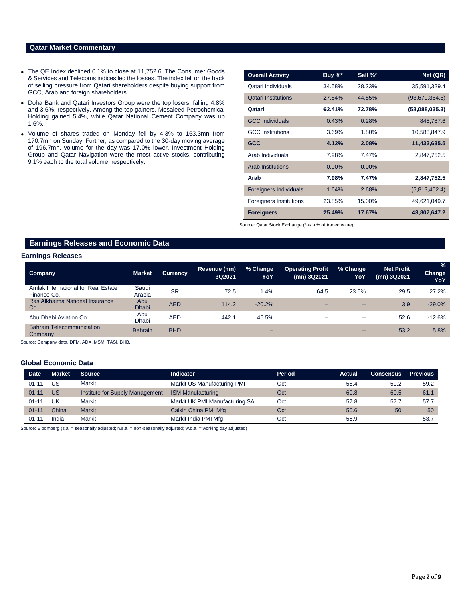## **Qatar Market Commentary**

- The QE Index declined 0.1% to close at 11,752.6. The Consumer Goods & Services and Telecoms indices led the losses. The index fell on the back of selling pressure from Qatari shareholders despite buying support from GCC, Arab and foreign shareholders.
- Doha Bank and Qatari Investors Group were the top losers, falling 4.8% and 3.6%, respectively. Among the top gainers, Mesaieed Petrochemical Holding gained 5.4%, while Qatar National Cement Company was up 1.6%.
- Volume of shares traded on Monday fell by 4.3% to 163.3mn from 170.7mn on Sunday. Further, as compared to the 30-day moving average of 196.7mn, volume for the day was 17.0% lower. Investment Holding Group and Qatar Navigation were the most active stocks, contributing 9.1% each to the total volume, respectively.

| <b>Overall Activity</b>       | Buy %*   | Sell %*  | Net (QR)       |
|-------------------------------|----------|----------|----------------|
| Qatari Individuals            | 34.58%   | 28.23%   | 35,591,329.4   |
| <b>Qatari Institutions</b>    | 27.84%   | 44.55%   | (93,679,364.6) |
| Qatari                        | 62.41%   | 72.78%   | (58,088,035.3) |
| <b>GCC Individuals</b>        | 0.43%    | 0.28%    | 848,787.6      |
| <b>GCC</b> Institutions       | 3.69%    | 1.80%    | 10,583,847.9   |
| <b>GCC</b>                    | 4.12%    | 2.08%    | 11,432,635.5   |
| Arab Individuals              | 7.98%    | 7.47%    | 2,847,752.5    |
| <b>Arab Institutions</b>      | $0.00\%$ | $0.00\%$ |                |
| Arab                          | 7.98%    | 7.47%    | 2,847,752.5    |
| <b>Foreigners Individuals</b> | 1.64%    | 2.68%    | (5,813,402.4)  |
| Foreigners Institutions       | 23.85%   | 15.00%   | 49,621,049.7   |
| <b>Foreigners</b>             | 25.49%   | 17.67%   | 43,807,647.2   |

Source: Qatar Stock Exchange (\*as a % of traded value)

# **Earnings Releases and Economic Data**

#### **Earnings Releases**

| <b>Company</b>                                     | <b>Market</b>       | <b>Currency</b> | Revenue (mn)<br>3Q2021 | % Change<br>YoY | <b>Operating Profit</b><br>(mn) 3Q2021 | % Change<br>YoY          | <b>Net Profit</b><br>(mn) 3Q2021 | $\frac{9}{6}$<br><b>Change</b><br>YoY |
|----------------------------------------------------|---------------------|-----------------|------------------------|-----------------|----------------------------------------|--------------------------|----------------------------------|---------------------------------------|
| Amlak International for Real Estate<br>Finance Co. | Saudi<br>Arabia     | <b>SR</b>       | 72.5                   | 1.4%            | 64.5                                   | 23.5%                    | 29.5                             | 27.2%                                 |
| Ras Alkhaima National Insurance<br>Co.             | Abu<br><b>Dhabi</b> | <b>AED</b>      | 114.2                  | $-20.2%$        |                                        | -                        | 3.9                              | $-29.0%$                              |
| Abu Dhabi Aviation Co.                             | Abu<br><b>Dhabi</b> | <b>AED</b>      | 442.1                  | 46.5%           |                                        | $\overline{\phantom{0}}$ | 52.6                             | $-12.6%$                              |
| <b>Bahrain Telecommunication</b><br>Company        | <b>Bahrain</b>      | <b>BHD</b>      |                        | -               |                                        |                          | 53.2                             | 5.8%                                  |

Source: Company data, DFM, ADX, MSM, TASI, BHB.

### **Global Economic Data**

| <b>Date</b> | Market    | <b>Source</b>                   | Indicator                      | <b>Period</b> | Actual | <b>Consensus</b>         | <b>Previous</b> |
|-------------|-----------|---------------------------------|--------------------------------|---------------|--------|--------------------------|-----------------|
| $01 - 11$   | US        | Markit                          | Markit US Manufacturing PMI    | Oct           | 58.4   | 59.2                     | 59.2            |
| $01 - 11$   | <b>US</b> | Institute for Supply Management | <b>ISM Manufacturing</b>       | Oct           | 60.8   | 60.5                     | 61.1            |
| $01 - 11$   | UK        | Markit                          | Markit UK PMI Manufacturing SA | Oct           | 57.8   | 57.7                     | 57.7            |
| $01 - 11$   | China     | <b>Markit</b>                   | Caixin China PMI Mfg           | Oct           | 50.6   | 50                       | 50              |
| $01 - 11$   | India     | Markit                          | Markit India PMI Mfg           | Oct           | 55.9   | $\overline{\phantom{a}}$ | 53.7            |

Source: Bloomberg (s.a. = seasonally adjusted; n.s.a. = non-seasonally adjusted; w.d.a. = working day adjusted)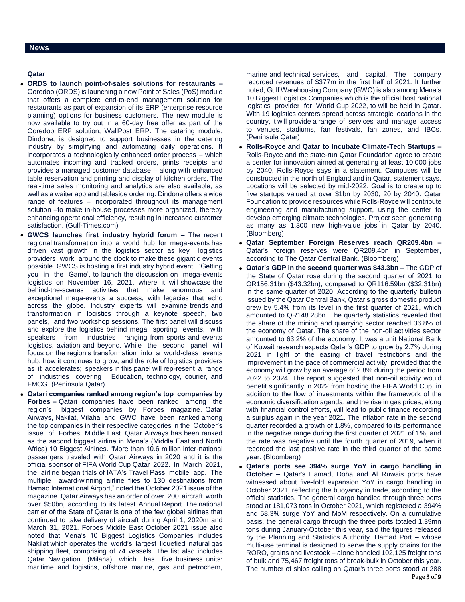# **Qatar**

- **ORDS to launch point-of-sales solutions for restaurants –** Ooredoo (ORDS) is launching a new Point of Sales (PoS) module that offers a complete end-to-end management solution for restaurants as part of expansion of its ERP (enterprise resource planning) options for business customers. The new module is now available to try out in a 60-day free offer as part of the Ooredoo ERP solution, WallPost ERP. The catering module, Dindone, is designed to support businesses in the catering industry by simplifying and automating daily operations. It incorporates a technologically enhanced order process – which automates incoming and tracked orders, prints receipts and provides a managed customer database – along with enhanced table reservation and printing and display of kitchen orders. The real-time sales monitoring and analytics are also available, as well as a waiter app and tableside ordering. Dindone offers a wide range of features – incorporated throughout its management solution –to make in-house processes more organized, thereby enhancing operational efficiency, resulting in increased customer satisfaction. (Gulf-Times.com)
- **GWCS launches first industry hybrid forum –** The recent regional transformation into a world hub for mega-events has driven vast growth in the logistics sector as key logistics providers work around the clock to make these gigantic events possible. GWCS is hosting a first industry hybrid event, 'Getting you in the Game', to launch the discussion on mega-events logistics on November 16, 2021, where it will showcase the behind-the-scenes activities that make enormous and exceptional mega-events a success, with legacies that echo across the globe. Industry experts will examine trends and transformation in logistics through a keynote speech, two panels, and two workshop sessions. The first panel will discuss and explore the logistics behind mega sporting events, with speakers from industries ranging from sports and events logistics, aviation and beyond. While the second panel will focus on the region's transformation into a world-class events hub, how it continues to grow, and the role of logistics providers as it accelerates; speakers in this panel will rep-resent a range of industries covering Education, technology, courier, and FMCG. (Peninsula Qatar)
- **Qatari companies ranked among region's top companies by Forbes –** Qatari companies have been ranked among the region's biggest companies by Forbes magazine. Qatar Airways, Nakilat, Milaha and GWC have been ranked among the top companies in their respective categories in the October's issue of Forbes Middle East. Qatar Airways has been ranked as the second biggest airline in Mena's (Middle East and North Africa) 10 Biggest Airlines. "More than 10.6 million inter-national passengers traveled with Qatar Airways in 2020 and it is the official sponsor of FIFA World Cup Qatar 2022. In March 2021, the airline began trials of IATA's Travel Pass mobile app. The multiple award-winning airline flies to 130 destinations from Hamad International Airport," noted the October 2021 issue of the magazine. Qatar Airways has an order of over 200 aircraft worth over \$50bn, according to its latest Annual Report. The national carrier of the State of Qatar is one of the few global airlines that continued to take delivery of aircraft during April 1, 2020m and March 31, 2021. Forbes Middle East October 2021 issue also noted that Mena's 10 Biggest Logistics Companies includes Nakilat which operates the world's largest liquefied natural gas shipping fleet, comprising of 74 vessels. The list also includes Qatar Navigation (Milaha) which has five business units: maritime and logistics, offshore marine, gas and petrochem,

marine and technical services, and capital. The company recorded revenues of \$377m in the first half of 2021. It further noted, Gulf Warehousing Company (GWC) is also among Mena's 10 Biggest Logistics Companies which is the official host national logistics provider for World Cup 2022, to will be held in Qatar. With 19 logistics centers spread across strategic locations in the country, it will provide a range of services and manage access to venues, stadiums, fan festivals, fan zones, and IBCs. (Peninsula Qatar)

- **Rolls-Royce and Qatar to Incubate Climate-Tech Startups –** Rolls-Royce and the state-run Qatar Foundation agree to create a center for innovation aimed at generating at least 10,000 jobs by 2040, Rolls-Royce says in a statement. Campuses will be constructed in the north of England and in Qatar, statement says. Locations will be selected by mid-2022. Goal is to create up to five startups valued at over \$1bn by 2030, 20 by 2040. Qatar Foundation to provide resources while Rolls-Royce will contribute engineering and manufacturing support, using the center to develop emerging climate technologies. Project seen generating as many as 1,300 new high-value jobs in Qatar by 2040. (Bloomberg)
- **Qatar September Foreign Reserves reach QR209.4bn –** Qatar's foreign reserves were QR209.4bn in September, according to The Qatar Central Bank. (Bloomberg)
- **Qatar's GDP in the second quarter was \$43.3bn –** The GDP of the State of Qatar rose during the second quarter of 2021 to QR156.31bn (\$43.32bn), compared to QR116.59bn (\$32.31bn) in the same quarter of 2020. According to the quarterly bulletin issued by the Qatar Central Bank, Qatar's gross domestic product grew by 5.4% from its level in the first quarter of 2021, which amounted to QR148.28bn. The quarterly statistics revealed that the share of the mining and quarrying sector reached 36.8% of the economy of Qatar. The share of the non-oil activities sector amounted to 63.2% of the economy. It was a unit National Bank of Kuwait research expects Qatar's GDP to grow by 2.7% during 2021 in light of the easing of travel restrictions and the improvement in the pace of commercial activity, provided that the economy will grow by an average of 2.8% during the period from 2022 to 2024. The report suggested that non-oil activity would benefit significantly in 2022 from hosting the FIFA World Cup, in addition to the flow of investments within the framework of the economic diversification agenda, and the rise in gas prices, along with financial control efforts, will lead to public finance recording a surplus again in the year 2021. The inflation rate in the second quarter recorded a growth of 1.8%, compared to its performance in the negative range during the first quarter of 2021 of 1%, and the rate was negative until the fourth quarter of 2019, when it recorded the last positive rate in the third quarter of the same year. (Bloomberg)
- Page 3 of 9 **Qatar's ports see 394% surge YoY in cargo handling in October –** Qatar's Hamad, Doha and Al Ruwais ports have witnessed about five-fold expansion YoY in cargo handling in October 2021, reflecting the buoyancy in trade, according to the official statistics. The general cargo handled through three ports stood at 181,073 tons in October 2021, which registered a 394% and 58.3% surge YoY and MoM respectively. On a cumulative basis, the general cargo through the three ports totaled 1.39mn tons during January-October this year, said the figures released by the Planning and Statistics Authority. Hamad Port – whose multi-use terminal is designed to serve the supply chains for the RORO, grains and livestock – alone handled 102,125 freight tons of bulk and 75,467 freight tons of break-bulk in October this year. The number of ships calling on Qatar's three ports stood at 288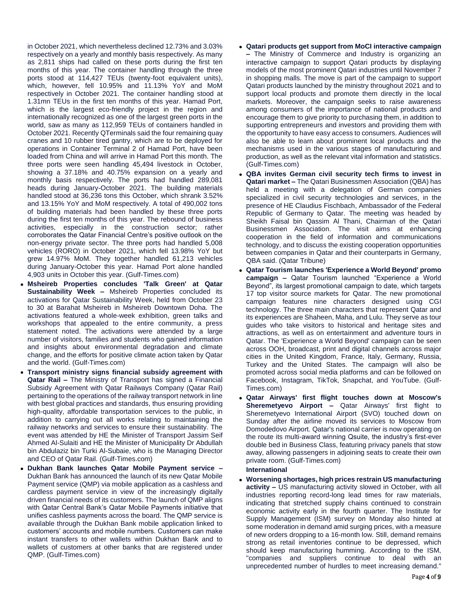in October 2021, which nevertheless declined 12.73% and 3.03% respectively on a yearly and monthly basis respectively. As many as 2,811 ships had called on these ports during the first ten months of this year. The container handling through the three ports stood at 114,427 TEUs (twenty-foot equivalent units), which, however, fell 10.95% and 11.13% YoY and MoM respectively in October 2021. The container handling stood at 1.31mn TEUs in the first ten months of this year. Hamad Port, which is the largest eco-friendly project in the region and internationally recognized as one of the largest green ports in the world, saw as many as 112,959 TEUs of containers handled in October 2021. Recently QTerminals said the four remaining quay cranes and 10 rubber tired gantry, which are to be deployed for operations in Container Terminal 2 of Hamad Port, have been loaded from China and will arrive in Hamad Port this month. The three ports were seen handling 45,494 livestock in October, showing a 37.18% and 40.75% expansion on a yearly and monthly basis respectively. The ports had handled 289,081 heads during January-October 2021. The building materials handled stood at 36,236 tons this October, which shrank 3.52% and 13.15% YoY and MoM respectively. A total of 490,002 tons of building materials had been handled by these three ports during the first ten months of this year. The rebound of business activities, especially in the construction sector; rather corroborates the Qatar Financial Centre's positive outlook on the non-energy private sector. The three ports had handled 5,008 vehicles (RORO) in October 2021, which fell 13.98% YoY but grew 14.97% MoM. They together handled 61,213 vehicles during January-October this year. Hamad Port alone handled 4,903 units in October this year. (Gulf-Times.com)

- **Msheireb Properties concludes 'Talk Green' at Qatar Sustainability Week –** Msheireb Properties concluded its activations for Qatar Sustainability Week, held from October 23 to 30 at Barahat Msheireb in Msheireb Downtown Doha. The activations featured a whole-week exhibition, green talks and workshops that appealed to the entire community, a press statement noted. The activations were attended by a large number of visitors, families and students who gained information and insights about environmental degradation and climate change, and the efforts for positive climate action taken by Qatar and the world. (Gulf-Times.com)
- **Transport ministry signs financial subsidy agreement with Qatar Rail –** The Ministry of Transport has signed a Financial Subsidy Agreement with Qatar Railways Company (Qatar Rail) pertaining to the operations of the railway transport network in line with best global practices and standards, thus ensuring providing high-quality, affordable transportation services to the public, in addition to carrying out all works relating to maintaining the railway networks and services to ensure their sustainability. The event was attended by HE the Minister of Transport Jassim Seif Ahmed Al-Sulaiti and HE the Minister of Municipality Dr Abdullah bin Abdulaziz bin Turki Al-Subaie, who is the Managing Director and CEO of Qatar Rail. (Gulf-Times.com)
- **Dukhan Bank launches Qatar Mobile Payment service –** Dukhan Bank has announced the launch of its new Qatar Mobile Payment service (QMP) via mobile application as a cashless and cardless payment service in view of the increasingly digitally driven financial needs of its customers. The launch of QMP aligns with Qatar Central Bank's Qatar Mobile Payments initiative that unifies cashless payments across the board. The QMP service is available through the Dukhan Bank mobile application linked to customers' accounts and mobile numbers. Customers can make instant transfers to other wallets within Dukhan Bank and to wallets of customers at other banks that are registered under QMP. (Gulf-Times.com)
- **Qatari products get support from MoCI interactive campaign –** The Ministry of Commerce and Industry is organizing an interactive campaign to support Qatari products by displaying models of the most prominent Qatari industries until November 7 in shopping malls. The move is part of the campaign to support Qatari products launched by the ministry throughout 2021 and to support local products and promote them directly in the local markets. Moreover, the campaign seeks to raise awareness among consumers of the importance of national products and encourage them to give priority to purchasing them, in addition to supporting entrepreneurs and investors and providing them with the opportunity to have easy access to consumers. Audiences will also be able to learn about prominent local products and the mechanisms used in the various stages of manufacturing and production, as well as the relevant vital information and statistics. (Gulf-Times.com)
- **QBA invites German civil security tech firms to invest in Qatari market –** The Qatari Businessmen Association (QBA) has held a meeting with a delegation of German companies specialized in civil security technologies and services, in the presence of HE Claudius Fischbach, Ambassador of the Federal Republic of Germany to Qatar. The meeting was headed by Sheikh Faisal bin Qassim Al Thani, Chairman of the Qatari Businessmen Association. The visit aims at enhancing cooperation in the field of information and communications technology, and to discuss the existing cooperation opportunities between companies in Qatar and their counterparts in Germany, QBA said. (Qatar Tribune)
- **Qatar Tourism launches 'Experience a World Beyond' promo campaign –** Qatar Tourism launched "Experience a World Beyond", its largest promotional campaign to date, which targets 17 top visitor source markets for Qatar. The new promotional campaign features nine characters designed using CGI technology. The three main characters that represent Qatar and its experiences are Shaheen, Maha, and Lulu. They serve as tour guides who take visitors to historical and heritage sites and attractions, as well as on entertainment and adventure tours in Qatar. The 'Experience a World Beyond' campaign can be seen across OOH, broadcast, print and digital channels across major cities in the United Kingdom, France, Italy, Germany, Russia, Turkey and the United States. The campaign will also be promoted across social media platforms and can be followed on Facebook, Instagram, TikTok, Snapchat, and YouTube. (Gulf-Times.com)
- **Qatar Airways' first flight touches down at Moscow's Sheremetyevo Airport –** Qatar Airways' first flight to Sheremetyevo International Airport (SVO) touched down on Sunday after the airline moved its services to Moscow from Domodedovo Airport. Qatar's national carrier is now operating on the route its multi-award winning Qsuite, the industry's first-ever double bed in Business Class, featuring privacy panels that stow away, allowing passengers in adjoining seats to create their own private room. (Gulf-Times.com)

## **International**

 **Worsening shortages, high prices restrain US manufacturing activity –** US manufacturing activity slowed in October, with all industries reporting record-long lead times for raw materials, indicating that stretched supply chains continued to constrain economic activity early in the fourth quarter. The Institute for Supply Management (ISM) survey on Monday also hinted at some moderation in demand amid surging prices, with a measure of new orders dropping to a 16-month low. Still, demand remains strong as retail inventories continue to be depressed, which should keep manufacturing humming. According to the ISM, "companies and suppliers continue to deal with an unprecedented number of hurdles to meet increasing demand."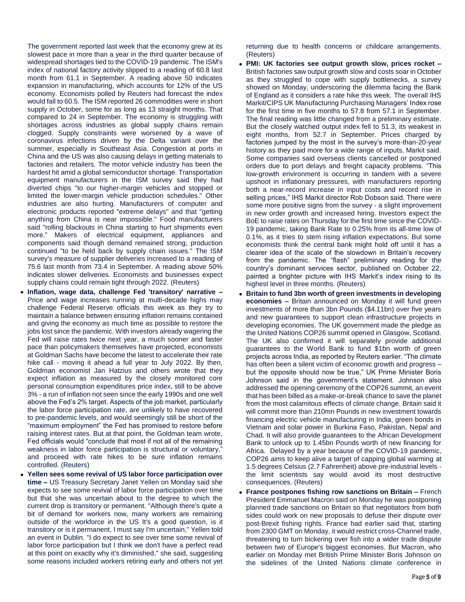The government reported last week that the economy grew at its slowest pace in more than a year in the third quarter because of widespread shortages tied to the COVID-19 pandemic. The ISM's index of national factory activity slipped to a reading of 60.8 last month from 61.1 in September. A reading above 50 indicates expansion in manufacturing, which accounts for 12% of the US economy. Economists polled by Reuters had forecast the index would fall to 60.5. The ISM reported 26 commodities were in short supply in October, some for as long as 13 straight months. That compared to 24 in September. The economy is struggling with shortages across industries as global supply chains remain clogged. Supply constraints were worsened by a wave of coronavirus infections driven by the Delta variant over the summer, especially in Southeast Asia. Congestion at ports in China and the US was also causing delays in getting materials to factories and retailers. The motor vehicle industry has been the hardest hit amid a global semiconductor shortage. Transportation equipment manufacturers in the ISM survey said they had diverted chips "to our higher-margin vehicles and stopped or limited the lower-margin vehicle production schedules." Other industries are also hurting. Manufacturers of computer and electronic products reported "extreme delays" and that "getting anything from China is near impossible." Food manufacturers said "rolling blackouts in China starting to hurt shipments even more." Makers of electrical equipment, appliances and components said though demand remained strong, production continued "to be held back by supply chain issues." The ISM survey's measure of supplier deliveries increased to a reading of 75.6 last month from 73.4 in September. A reading above 50% indicates slower deliveries. Economists and businesses expect supply chains could remain tight through 2022. (Reuters)

- **Inflation, wage data, challenge Fed 'transitory' narrative –** Price and wage increases running at multi-decade highs may challenge Federal Reserve officials this week as they try to maintain a balance between ensuring inflation remains contained and giving the economy as much time as possible to restore the jobs lost since the pandemic. With investors already wagering the Fed will raise rates twice next year, a much sooner and faster pace than policymakers themselves have projected, economists at Goldman Sachs have become the latest to accelerate their rate hike call - moving it ahead a full year to July 2022. By then, Goldman economist Jan Hatzius and others wrote that they expect inflation as measured by the closely monitored core personal consumption expenditures price index, still to be above 3% - a run of inflation not seen since the early 1990s and one well above the Fed's 2% target. Aspects of the job market, particularly the labor force participation rate, are unlikely to have recovered to pre-pandemic levels, and would seemingly still be short of the "maximum employment" the Fed has promised to restore before raising interest rates. But at that point, the Goldman team wrote, Fed officials would "conclude that most if not all of the remaining weakness in labor force participation is structural or voluntary," and proceed with rate hikes to be sure inflation remains controlled. (Reuters)
- **Yellen sees some revival of US labor force participation over time –** US Treasury Secretary Janet Yellen on Monday said she expects to see some revival of labor force participation over time but that she was uncertain about to the degree to which the current drop is transitory or permanent. "Although there's quite a bit of demand for workers now, many workers are remaining outside of the workforce in the US It's a good question, is it transitory or is it permanent, I must say I'm uncertain," Yellen told an event in Dublin. "I do expect to see over time some revival of labor force participation but I think we don't have a perfect read at this point on exactly why it's diminished," she said, suggesting some reasons included workers retiring early and others not yet

returning due to health concerns or childcare arrangements. (Reuters)

- **PMI: UK factories see output growth slow, prices rocket –** British factories saw output growth slow and costs soar in October as they struggled to cope with supply bottlenecks, a survey showed on Monday, underscoring the dilemma facing the Bank of England as it considers a rate hike this week. The overall IHS Markit/CIPS UK Manufacturing Purchasing Managers' Index rose for the first time in five months to 57.8 from 57.1 in September. The final reading was little changed from a preliminary estimate. But the closely watched output index fell to 51.3, its weakest in eight months, from 52.7 in September. Prices charged by factories jumped by the most in the survey's more-than-20-year history as they paid more for a wide range of inputs, Markit said. Some companies said overseas clients cancelled or postponed orders due to port delays and freight capacity problems. "This low-growth environment is occurring in tandem with a severe upshoot in inflationary pressures, with manufacturers reporting both a near-record increase in input costs and record rise in selling prices," IHS Markit director Rob Dobson said. There were some more positive signs from the survey - a slight improvement in new order growth and increased hiring. Investors expect the BoE to raise rates on Thursday for the first time since the COVID-19 pandemic, taking Bank Rate to 0.25% from its all-time low of 0.1%, as it tries to stem rising inflation expectations. But some economists think the central bank might hold off until it has a clearer idea of the scale of the slowdown in Britain's recovery from the pandemic. The "flash" preliminary reading for the country's dominant services sector, published on October 22, painted a brighter picture with IHS Markit's index rising to its highest level in three months. (Reuters)
- **Britain to fund 3bn worth of green investments in developing economies –** Britain announced on Monday it will fund green investments of more than 3bn Pounds (\$4.11bn) over five years and new guarantees to support clean infrastructure projects in developing economies. The UK government made the pledge as the United Nations COP26 summit opened in Glasgow, Scotland. The UK also confirmed it will separately provide additional guarantees to the World Bank to fund \$1bn worth of green projects across India, as reported by Reuters earlier. "The climate has often been a silent victim of economic growth and progress – but the opposite should now be true," UK Prime Minister Boris Johnson said in the government's statement. Johnson also addressed the opening ceremony of the COP26 summit, an event that has been billed as a make-or-break chance to save the planet from the most calamitous effects of climate change. Britain said it will commit more than 210mn Pounds in new investment towards financing electric vehicle manufacturing in India, green bonds in Vietnam and solar power in Burkina Faso, Pakistan, Nepal and Chad. It will also provide guarantees to the African Development Bank to unlock up to 1.45bn Pounds worth of new financing for Africa. Delayed by a year because of the COVID-19 pandemic, COP26 aims to keep alive a target of capping global warming at 1.5 degrees Celsius (2.7 Fahrenheit) above pre-industrial levels the limit scientists say would avoid its most destructive consequences. (Reuters)
- **France postpones fishing row sanctions on Britain –** French President Emmanuel Macron said on Monday he was postponing planned trade sanctions on Britain so that negotiators from both sides could work on new proposals to defuse their dispute over post-Brexit fishing rights. France had earlier said that, starting from 2300 GMT on Monday, it would restrict cross-Channel trade, threatening to turn bickering over fish into a wider trade dispute between two of Europe's biggest economies. But Macron, who earlier on Monday met British Prime Minister Boris Johnson on the sidelines of the United Nations climate conference in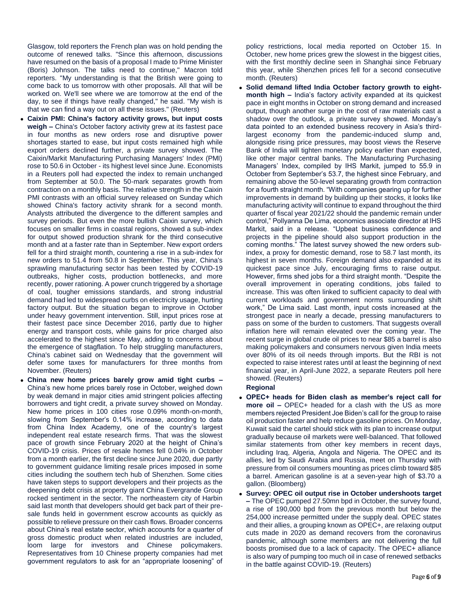Glasgow, told reporters the French plan was on hold pending the outcome of renewed talks. "Since this afternoon, discussions have resumed on the basis of a proposal I made to Prime Minister (Boris) Johnson. The talks need to continue," Macron told reporters. "My understanding is that the British were going to come back to us tomorrow with other proposals. All that will be worked on. We'll see where we are tomorrow at the end of the day, to see if things have really changed," he said. "My wish is that we can find a way out on all these issues." (Reuters)

- **Caixin PMI: China's factory activity grows, but input costs weigh –** China's October factory activity grew at its fastest pace in four months as new orders rose and disruptive power shortages started to ease, but input costs remained high while export orders declined further, a private survey showed. The Caixin/Markit Manufacturing Purchasing Managers' Index (PMI) rose to 50.6 in October - its highest level since June. Economists in a Reuters poll had expected the index to remain unchanged from September at 50.0. The 50-mark separates growth from contraction on a monthly basis. The relative strength in the Caixin PMI contrasts with an official survey released on Sunday which showed China's factory activity shrank for a second month. Analysts attributed the divergence to the different samples and survey periods. But even the more bullish Caixin survey, which focuses on smaller firms in coastal regions, showed a sub-index for output showed production shrank for the third consecutive month and at a faster rate than in September. New export orders fell for a third straight month, countering a rise in a sub-index for new orders to 51.4 from 50.8 in September. This year, China's sprawling manufacturing sector has been tested by COVID-19 outbreaks, higher costs, production bottlenecks, and more recently, power rationing. A power crunch triggered by a shortage of coal, tougher emissions standards, and strong industrial demand had led to widespread curbs on electricity usage, hurting factory output. But the situation began to improve in October under heavy government intervention. Still, input prices rose at their fastest pace since December 2016, partly due to higher energy and transport costs, while gains for price charged also accelerated to the highest since May, adding to concerns about the emergence of stagflation. To help struggling manufacturers, China's cabinet said on Wednesday that the government will defer some taxes for manufacturers for three months from November. (Reuters)
- **China new home prices barely grow amid tight curbs –** China's new home prices barely rose in October, weighed down by weak demand in major cities amid stringent policies affecting borrowers and tight credit, a private survey showed on Monday. New home prices in 100 cities rose 0.09% month-on-month, slowing from September's 0.14% increase, according to data from China Index Academy, one of the country's largest independent real estate research firms. That was the slowest pace of growth since February 2020 at the height of China's COVID-19 crisis. Prices of resale homes fell 0.04% in October from a month earlier, the first decline since June 2020, due partly to government guidance limiting resale prices imposed in some cities including the southern tech hub of Shenzhen. Some cities have taken steps to support developers and their projects as the deepening debt crisis at property giant China Evergrande Group rocked sentiment in the sector. The northeastern city of Harbin said last month that developers should get back part of their presale funds held in government escrow accounts as quickly as possible to relieve pressure on their cash flows. Broader concerns about China's real estate sector, which accounts for a quarter of gross domestic product when related industries are included, loom large for investors and Chinese policymakers. Representatives from 10 Chinese property companies had met government regulators to ask for an "appropriate loosening" of

policy restrictions, local media reported on October 15. In October, new home prices grew the slowest in the biggest cities, with the first monthly decline seen in Shanghai since February this year, while Shenzhen prices fell for a second consecutive month. (Reuters)

 **Solid demand lifted India October factory growth to eightmonth high –** India's factory activity expanded at its quickest pace in eight months in October on strong demand and increased output, though another surge in the cost of raw materials cast a shadow over the outlook, a private survey showed. Monday's data pointed to an extended business recovery in Asia's thirdlargest economy from the pandemic-induced slump and, alongside rising price pressures, may boost views the Reserve Bank of India will tighten monetary policy earlier than expected, like other major central banks. The Manufacturing Purchasing Managers' Index, compiled by IHS Markit, jumped to 55.9 in October from September's 53.7, the highest since February, and remaining above the 50-level separating growth from contraction for a fourth straight month. "With companies gearing up for further improvements in demand by building up their stocks, it looks like manufacturing activity will continue to expand throughout the third quarter of fiscal year 2021/22 should the pandemic remain under control," Pollyanna De Lima, economics associate director at IHS Markit, said in a release. "Upbeat business confidence and projects in the pipeline should also support production in the coming months." The latest survey showed the new orders subindex, a proxy for domestic demand, rose to 58.7 last month, its highest in seven months. Foreign demand also expanded at its quickest pace since July, encouraging firms to raise output. However, firms shed jobs for a third straight month. "Despite the overall improvement in operating conditions, jobs failed to increase. This was often linked to sufficient capacity to deal with current workloads and government norms surrounding shift work," De Lima said. Last month, input costs increased at the strongest pace in nearly a decade, pressing manufacturers to pass on some of the burden to customers. That suggests overall inflation here will remain elevated over the coming year. The recent surge in global crude oil prices to near \$85 a barrel is also making policymakers and consumers nervous given India meets over 80% of its oil needs through imports. But the RBI is not expected to raise interest rates until at least the beginning of next financial year, in April-June 2022, a separate Reuters poll here showed. (Reuters)

# **Regional**

- **OPEC+ heads for Biden clash as member's reject call for more oil –** OPEC+ headed for a clash with the US as more members rejected President Joe Biden's call for the group to raise oil production faster and help reduce gasoline prices. On Monday, Kuwait said the cartel should stick with its plan to increase output gradually because oil markets were well-balanced. That followed similar statements from other key members in recent days, including Iraq, Algeria, Angola and Nigeria. The OPEC and its allies, led by Saudi Arabia and Russia, meet on Thursday with pressure from oil consumers mounting as prices climb toward \$85 a barrel. American gasoline is at a seven-year high of \$3.70 a gallon. (Bloomberg)
- **Survey: OPEC oil output rise in October undershoots target –** The OPEC pumped 27.50mn bpd in October, the survey found, a rise of 190,000 bpd from the previous month but below the 254,000 increase permitted under the supply deal. OPEC states and their allies, a grouping known as OPEC+, are relaxing output cuts made in 2020 as demand recovers from the coronavirus pandemic, although some members are not delivering the full boosts promised due to a lack of capacity. The OPEC+ alliance is also wary of pumping too much oil in case of renewed setbacks in the battle against COVID-19. (Reuters)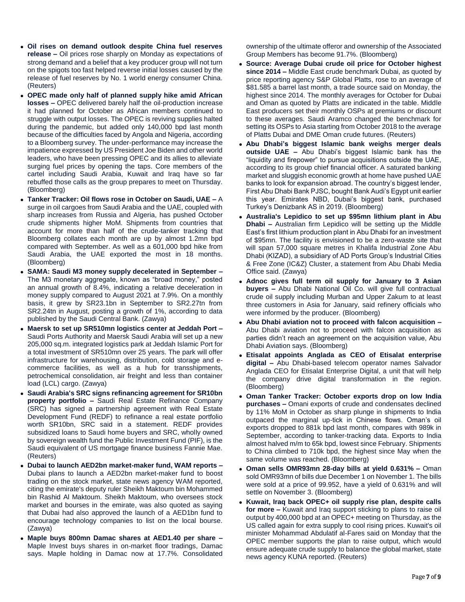- **Oil rises on demand outlook despite China fuel reserves release –** Oil prices rose sharply on Monday as expectations of strong demand and a belief that a key producer group will not turn on the spigots too fast helped reverse initial losses caused by the release of fuel reserves by No. 1 world energy consumer China. (Reuters)
- **OPEC made only half of planned supply hike amid African losses –** OPEC delivered barely half the oil-production increase it had planned for October as African members continued to struggle with output losses. The OPEC is reviving supplies halted during the pandemic, but added only 140,000 bpd last month because of the difficulties faced by Angola and Nigeria, according to a Bloomberg survey. The under-performance may increase the impatience expressed by US President Joe Biden and other world leaders, who have been pressing OPEC and its allies to alleviate surging fuel prices by opening the taps. Core members of the cartel including Saudi Arabia, Kuwait and Iraq have so far rebuffed those calls as the group prepares to meet on Thursday. (Bloomberg)
- **Tanker Tracker: Oil flows rose in October on Saudi, UAE –** A surge in oil cargoes from Saudi Arabia and the UAE, coupled with sharp increases from Russia and Algeria, has pushed October crude shipments higher MoM. Shipments from countries that account for more than half of the crude-tanker tracking that Bloomberg collates each month are up by almost 1.2mn bpd compared with September. As well as a 601,000 bpd hike from Saudi Arabia, the UAE exported the most in 18 months. (Bloomberg)
- **SAMA: Saudi M3 money supply decelerated in September –** The M3 monetary aggregate, known as "broad money," posted an annual growth of 8.4%, indicating a relative deceleration in money supply compared to August 2021 at 7.9%. On a monthly basis, it grew by SR23.1bn in September to SR2.27tn from SR2.24tn in August, posting a growth of 1%, according to data published by the Saudi Central Bank. (Zawya)
- **Maersk to set up SR510mn logistics center at Jeddah Port –** Saudi Ports Authority and Maersk Saudi Arabia will set up a new 205,000 sq.m. integrated logistics park at Jeddah Islamic Port for a total investment of SR510mn over 25 years. The park will offer infrastructure for warehousing, distribution, cold storage and ecommerce facilities, as well as a hub for transshipments, petrochemical consolidation, air freight and less than container load (LCL) cargo. (Zawya)
- **Saudi Arabia's SRC signs refinancing agreement for SR10bn property portfolio –** Saudi Real Estate Refinance Company (SRC) has signed a partnership agreement with Real Estate Development Fund (REDF) to refinance a real estate portfolio worth SR10bn, SRC said in a statement. REDF provides subsidized loans to Saudi home buyers and SRC, wholly owned by sovereign wealth fund the Public Investment Fund (PIF), is the Saudi equivalent of US mortgage finance business Fannie Mae. (Reuters)
- **Dubai to launch AED2bn market-maker fund, WAM reports –** Dubai plans to launch a AED2bn market-maker fund to boost trading on the stock market, state news agency WAM reported, citing the emirate's deputy ruler Sheikh Maktoum bin Mohammed bin Rashid Al Maktoum. Sheikh Maktoum, who oversees stock market and bourses in the emirate, was also quoted as saying that Dubai had also approved the launch of a AED1bn fund to encourage technology companies to list on the local bourse. (Zawya)
- **Maple buys 800mn Damac shares at AED1.40 per share –** Maple Invest buys shares in on-market floor tradings, Damac says. Maple holding in Damac now at 17.7%. Consolidated

ownership of the ultimate offeror and ownership of the Associated Group Members has become 91.7%. (Bloomberg)

- **Source: Average Dubai crude oil price for October highest since 2014 –** Middle East crude benchmark Dubai, as quoted by price reporting agency S&P Global Platts, rose to an average of \$81.585 a barrel last month, a trade source said on Monday, the highest since 2014. The monthly averages for October for Dubai and Oman as quoted by Platts are indicated in the table. Middle East producers set their monthly OSPs at premiums or discount to these averages. Saudi Aramco changed the benchmark for setting its OSPs to Asia starting from October 2018 to the average of Platts Dubai and DME Oman crude futures. (Reuters)
- **Abu Dhabi's biggest Islamic bank weighs merger deals outside UAE –** Abu Dhabi's biggest Islamic bank has the "liquidity and firepower" to pursue acquisitions outside the UAE, according to its group chief financial officer. A saturated banking market and sluggish economic growth at home have pushed UAE banks to look for expansion abroad. The country's biggest lender, First Abu Dhabi Bank PJSC, bought Bank Audi's Egypt unit earlier this year. Emirates NBD, Dubai's biggest bank, purchased Turkey's Denizbank AS in 2019. (Bloomberg)
- **Australia's Lepidico to set up \$95mn lithium plant in Abu Dhabi –** Australian firm Lepidico will be setting up the Middle East's first lithium production plant in Abu Dhabi for an investment of \$95mn. The facility is envisioned to be a zero-waste site that will span 57,000 square metres in Khalifa Industrial Zone Abu Dhabi (KIZAD), a subsidiary of AD Ports Group's Industrial Cities & Free Zone (IC&Z) Cluster, a statement from Abu Dhabi Media Office said. (Zawya)
- **Adnoc gives full term oil supply for January to 3 Asian buyers –** Abu Dhabi National Oil Co. will give full contractual crude oil supply including Murban and Upper Zakum to at least three customers in Asia for January, said refinery officials who were informed by the producer. (Bloomberg)
- **Abu Dhabi aviation not to proceed with falcon acquisition –** Abu Dhabi aviation not to proceed with falcon acquisition as parties didn't reach an agreement on the acquisition value, Abu Dhabi Aviation says. (Bloomberg)
- **Etisalat appoints Anglada as CEO of Etisalat enterprise digital –** Abu Dhabi-based telecom operator names Salvador Anglada CEO for Etisalat Enterprise Digital, a unit that will help the company drive digital transformation in the region. (Bloomberg)
- **Oman Tanker Tracker: October exports drop on low India purchases –** Omani exports of crude and condensates declined by 11% MoM in October as sharp plunge in shipments to India outpaced the marginal up-tick in Chinese flows. Oman's oil exports dropped to 881k bpd last month, compares with 989k in September, according to tanker-tracking data. Exports to India almost halved m/m to 65k bpd, lowest since February. Shipments to China climbed to 710k bpd, the highest since May when the same volume was reached. (Bloomberg)
- **Oman sells OMR93mn 28-day bills at yield 0.631% –** Oman sold OMR93mn of bills due December 1 on November 1. The bills were sold at a price of 99.952, have a yield of 0.631% and will settle on November 3. (Bloomberg)
- **Kuwait, Iraq back OPEC+ oil supply rise plan, despite calls for more –** Kuwait and Iraq support sticking to plans to raise oil output by 400,000 bpd at an OPEC+ meeting on Thursday, as the US called again for extra supply to cool rising prices. Kuwait's oil minister Mohammad Abdulatif al-Fares said on Monday that the OPEC member supports the plan to raise output, which would ensure adequate crude supply to balance the global market, state news agency KUNA reported. (Reuters)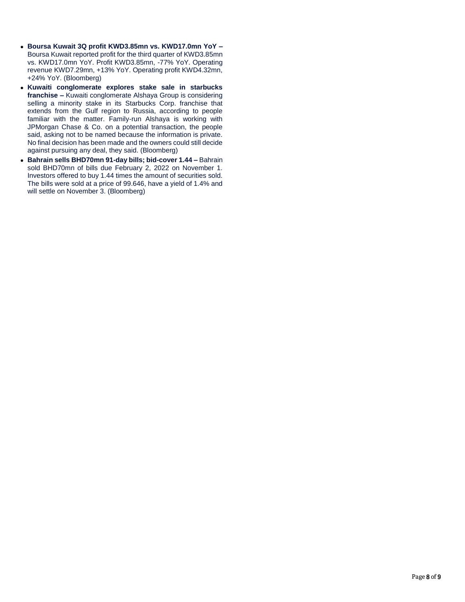- **Boursa Kuwait 3Q profit KWD3.85mn vs. KWD17.0mn YoY –** Boursa Kuwait reported profit for the third quarter of KWD3.85mn vs. KWD17.0mn YoY. Profit KWD3.85mn, -77% YoY. Operating revenue KWD7.29mn, +13% YoY. Operating profit KWD4.32mn, +24% YoY. (Bloomberg)
- **Kuwaiti conglomerate explores stake sale in starbucks franchise –** Kuwaiti conglomerate Alshaya Group is considering selling a minority stake in its Starbucks Corp. franchise that extends from the Gulf region to Russia, according to people familiar with the matter. Family-run Alshaya is working with JPMorgan Chase & Co. on a potential transaction, the people said, asking not to be named because the information is private. No final decision has been made and the owners could still decide against pursuing any deal, they said. (Bloomberg)
- **Bahrain sells BHD70mn 91-day bills; bid-cover 1.44 –** Bahrain sold BHD70mn of bills due February 2, 2022 on November 1. Investors offered to buy 1.44 times the amount of securities sold. The bills were sold at a price of 99.646, have a yield of 1.4% and will settle on November 3. (Bloomberg)